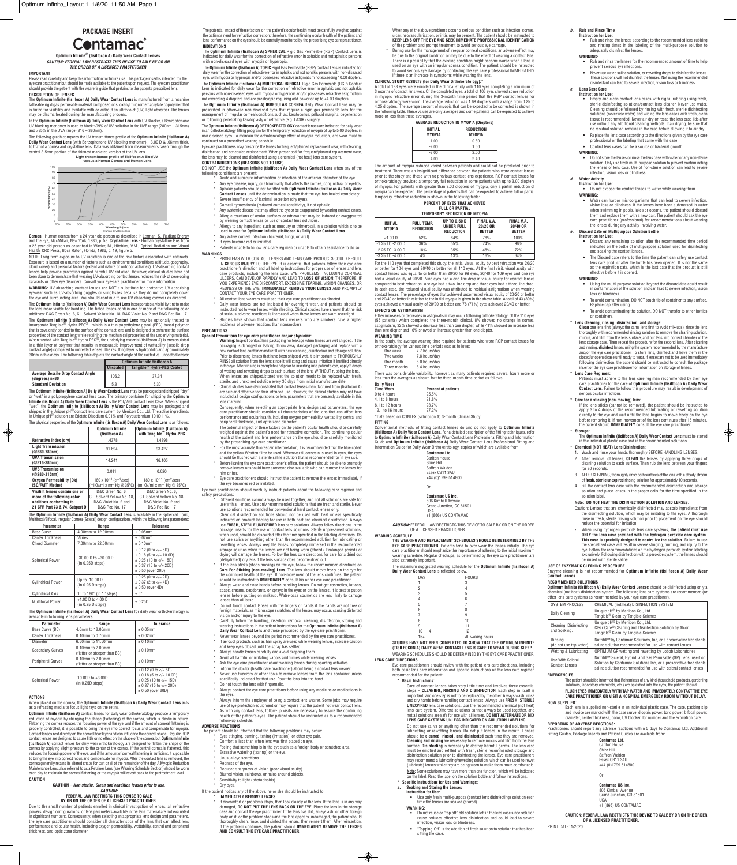# **PACKAGE INSERT**

# Contamac<sup>®</sup>

**Optimum Infinite® (tisilfocon A) Daily Wear Contact Lenses** *CAUTION: FEDERAL LAW RESTRICTS THIS DEVICE TO SALE BY OR ON THE ORDER OF A LICENSED PRACTITIONER*

#### **IMPORTANT**

**DESCRIPTION OF LENSES** The **Optimum Infinite (tisilfocon A) Daily Wear Contact Lens** is manufactured from a machine latheable rigid gas permeable material composed of siloxanyl fluoromethacrylate copolymer that<br>is tinted for visibility and available with or without an ultraviolet (UV) light absorber. The lenses<br>may be plasma treated dur

Please read carefully and keep this information for future use. This package insert is intended for the eye care practitioner but should be made available to the patient upon request. The eye care practitioner should provide the patient with the wearer's guide that pertains to the patients prescribed lens.

The following graph compares the UV transmittance profile of the **Optimum Infinite (tisilfocon A)**<br>**Daily Wear Contact Lens** (with Benzophenone UV blocking monomer), –3.00 D & .06mm thick,<br>to that of a cornea and crystalli central 3-5mm portion of the thinnest marketed version of the UV lens.

**Cornea** - Human cornea from a 24-year-old person as described in <u>Lerman, S., Radiant Energy</u><br><u>and the Eye,</u> MacMillan, New York, 1980, p. 58. **Crystalline Lens** - Human crystalline lens from<br>a 25-year-old person as descr Health, CRC Press, Boca Raton, Florida, 1986, p. 19, figure 5.

In the **Optimum Infinite (tisilfocon A) Daily Wear Contact Lens** with UV Blocker, a Benzophenone UV blocking monomer is used to block >99% of UV radiation in the UVB range (280nm – 315nm) and >85% in the UVA range (316 – 380nm).

incorporate Tangible® Hydra-PEG®—which is a thin polyethylene glycol (PEG)-based polymer<br>that is covalently bonded to the surface of the contact lens and is designed to enhance the surface<br>properties of the contact lens w contact angle) compared to untreated lenses. The resulting layer is hydrophilic and approximately 30nm in thickness. The following table depicts the contact angle of the coated vs. uncoated lenses:

NOTE: Long-term exposure to UV radiation is one of the risk factors associated with cataracts. Exposure is based on a number of factors such as environmental conditions (altitude, geography,<br>cloud cover) and personal factors (extent and nature of outdoor activities). UV-absorbing contact<br>lenses help provide protecti been done to demonstrate that wearing UV-absorbing contact lenses reduces the risk of developing cataracts or other eye disorders. Consult your eye-care practitioner for more information.

The **Optimum Infinite (tisilfocon A) Daily Wear Contact Lens** may be packaged and shipped "dry"<br>or "wet" in a polypropylene contact lens case. The primary container for shipping the **Optimum**<br>I**nfinite (tisilfocon A) Daily** "wet", the **Optimum Infinite (tisilfocon A) Daily Wear Contact Lens** may be packaged and shipped in the Unique pH® contact lens care system by Menicon Co., Ltd**.** The active ingredients in Unique pH® solution are Edetate Disodium 0.01% and Polyquaternium 10.0011%. The physical properties of the **Optimum Infinite (tisilfocon A) Daily Wear Contact Lens** is as follows:

The **Optimum Infinite (tisilfocon A) Daily Wear Contact Lens** is available in the Spherical, Toric, Multifocal/Bifocal, Irregular Cornea (Scleral) design configurations, within the following lens parameters

**WARNING:** UV-absorbing contact lenses are NOT a substitute for protective UV-absorbing eyewear such as UV-absorbing goggles or sunglasses because they do not completely cover the eye and surrounding area. You should continue to use UV-absorbing eyewear as directed.

The **Optimum Infinite (tisilfocon A) Daily Wear Contact Lens** incorporates a visibility tint to make the lens more visible for handling. The tinted lenses contain one or more of the following color additives: D&C Green No. 6, C.I. Solvent Yellow No. 18, D&C Violet No. 2 and D&C Red No. 17. The **Optimum Infinite (tisilfocon A) Daily Wear Contact Lens** may be optionally treated to

**Optimum Infinite (tisilfocon A)** contact lenses for daily wear orthokeratology produce a temporary<br>reduction of myopia by changing the shape (flattening) of the cornea, which is elastic in nature.<br>Flattening the cornea re properly controlled, it is possible to bring the eye into correct focus and compensate for myopia.<br>Contact lenses rest directly on the corneal tear layer and can influence the corneal shape. Regular RGP<br>contact lenses are **(tisilfocon A)** contact lenses for daily wear orthokeratology are designed to flatten the shape of the<br>cornea by applying slight pressure to the center of the cornea. If the central cornea is flattened, this<br>reduces the f to bring the eye into correct focus and compensate for myopia. After the contact lens is removed, the cornea generally retains its altered shape for part or all of the remainder of the day. A Myopic Reduction Maintenance Lens, also referred to as a Retainer Lens (see Wearing Schedule Section) should be worn each day to maintain the corneal flattening or the myopia will revert back to the pretreatment level. The **Optimum Infinite (tisilfocon A) SPHERICAL** Rigid Gas Permeable (RGP) Contact Lens is indicated for daily wear for the correction of refractive error in aphakic and not aphakic persons with non-diseased eyes with myonia or hyperopia.

DO NOT USE the **Optimum Infinite (tisilfocon A) Daily Wear Contact Lens** when any of the following conditions are present: Acute and subacute inflammation or infection of the anterior chamber of the eye.

- Any eye disease, injury, or abnormality that affects the cornea, conjunctiva, or eyelids.
- \* Aphakic patients should not be fitted with **Optimum Infinite (tisilfocon A) Daily Wear Contact Lenses** until the determination is made that the eye has healed completely.
- Severe insufficiency of lacrimal secretion (dry eyes).
- Corneal hypoesthesia (reduced corneal sensitivity), if not-aphakic.
- Any systemic disease that may affect the eye or be exaggerated by wearing contact lenses. Allergic reactions of ocular surfaces or adnexa that may be induced or exaggerated
- by wearing contact lenses or use of contact lens solutions. \* Allergy to any ingredient, such as mercury or thimerosal, in a solution which is to be used to care for **Optimum Infinite (tisilfocon A) Daily Wear Contact Lens**.
- Any active corneal infection (bacterial, fungi, or viral).
- If eyes become red or irritated.

The **Optimum Infinite (tisilfocon A) Daily Wear Contact Lens** for daily wear orthokeratology is available in following lens parameters:

#### **ACTIONS**

When placed on the cornea, the **Optimum Infinite (tisilfocon A) Daily Wear Contact Lens** acts as a refracting media to focus light rays on the retina.

Patients unable to follow lens care regimen or unable to obtain assistance to do so. **WARNINGS**

- PROBLEMS WITH CONTACT LENSES AND LENS CARE PRODUCTS COULD RESULT IN **SEROUS INJURY** TO THE EYE. It is essential that patients follow their eye care practitioner's direction and all labeling instructions for proper use of lenses and lens<br>care products, including the lens case. EYE PROBLEMS, INCLUDING CORNEAL<br>ULCERS, CAN DEVELOP RAPIDLY AND LEAD TO **LOSS OF VISION**; THE YOU EXPERIENCE EYE DISCOMFORT, EXCESSIVE TEARING, VISION CHANGES, OR<br>REDNESS OF THE EYE, **IMMEDIATELY REMOVE YOUR LENSES** AND PROMPTLY<br>CONTACT YOUR EYE CARE PRACTITIONER.
- All contact lens wearers must see their eye care practitioner as directed.
- tally wear lenses are not indicated for overnight wear, and patients should be "<br>instructed not to wear lenses while sleeping. Clinical studies have shown that the risk<br>of serious adverse reactions is increased when these Studies have shown that contact lens wearers who are smokers have a higher
- incidence of adverse reactions than nonsmokers. **PRECAUTIONS**

### **CAUTION**

## **CAUTION** *– Non-sterile. Clean and condition lenses prior to use*. *CAUTION:* **FEDERAL LAW RESTRICTS THIS DEVICE TO SALE BY OR ON THE ORDER OF A LICENSED PRACTITIONER.**

- **Warning:** Inspect contact lens packaging for leakage when lenses are wet shipped. If the<br>packaging is damaged or leaking, throw away damaged packaging and replace with a<br>new contact lens container and refill with new clea Prior to dispensing lenses that have been shipped wet, it is important to THOROUGHLY RINSE all solution from the lens since it will sting and cause irritation if instilled directly in the eye. After rinsing is complete and prior to inserting into patient's eye, apply 2 drops of wetting and rewetting drops to each surface of the lens WITHOUT rubbing the lens.
- When lenses are shipped/stored wet the solution needs to be replaced with fresh, sterile, and unexpired solution every 30 days from initial manufacture date. \* Clinical studies have demonstrated that contact lenses manufactured from (tisilfocon A) are safe and effective for their intended use. However, the clinical studies may not have included all design configurations or lens parameters that are presently available in this
- lens material. Consequently, when selecting an appropriate lens design and parameters, the eye

The potential impact of these factors on the patient's ocular health should be carefully<br>weighed against the patient's need for refractive correction. The continuing ocular<br>health of the patient and lens performance on the by the prescribing eye care practitioner.

Due to the small number of patients enrolled in clinical investigation of lenses, all refractive powers, design configurations, or lens parameters available in the lens material are not evaluated in significant numbers. Consequently, when selecting an appropriate lens design and parameters the eye care practitioner should consider all characteristics of the lens that can affect lens performance and ocular health, including oxygen permeability, wettability, central and peripheral thickness, and optic zone diameter.

- Inform the doctor (health care practitioner) about being a contact lens wearer.
- Never use tweezers or other tools to remove lenses from the lens container unless specifically indicated for that use. Pour the lens into the hand.
- Do not touch the lens with fingernails.
- Always contact the eye care practitioner before using any medicine or medications in the eyes.
- Always inform the employer of being a contact lens wearer. Some jobs may require use of eye protection equipment or may require that the patient not wear contact lens. \* As with any contact lens, follow-up visits are necessary to assure the continuing
- health of the patient's eyes. The patient should be instructed as to a recommended -up schedule.
- \* For the most accurate fluorescein interpretation, it is recommended that the blue cobalt and the yellow Wratten filter be used. Whenever fluorescein is used in eyes, the eyes
- should be flushed with a sterile saline solution that is recommended for in eye use. \* Before leaving the eye care practitioner's office, the patient should be able to promptly remove lenses or should have someone else available who can remove the lenses for him or her.

Eye care practitioners should instruct the patient to remove the lenses immediately if eye becomes red or irritated.

The potential impact of these factors on the patient's ocular health must be carefully weighed against the patient's need for refractive correction; therefore, the continuing ocular health of the patient and lens performance on the eye should be carefully monitored by the prescribing eye care practition **INDICATIONS**

The **Optimum Infinite (tisilfocon A) TORIC** Rigid Gas Permeable (RGP) Contact Lens is indicated for daily wear for the correction of refractive error in aphakic and not aphakic persons with non-diseased eyes with myopia or hyperopia and/or possesses refractive astigmatism not exceeding 10.00 diopters. The **Optimum Infinite (tisilfocon A) MULTIFOCAL/BIFOCAL** Rigid Gas Permeable (RGP) Contact Lens is indicated for daily wear for the correction of refractive error in aphakic and not aphakic persons with non-diseased eyes with myopia or hyperopia and/or possesses refractive astigmatism not exceeding 4 diopters and are presbyopic requiring add power of up to +4.00 diopters.

The **Optimum Infinite (tisilfocon A) IRREGULAR CORNEA** Daily Wear Contact Lens may be prescribed in otherwise non-diseased eyes that require a rigid gas permeable lens for the management of irregular corneal conditions such as; keratoconus, pellucid marginal degeneration or following penetrating keratoplasty or refractive (e.g. LASIK) surgery.

- The patient should be informed that the following problems may occur: \* Eyes stinging, burning, itching (irritation), or other eye pain.
	-
	- \* Comfort is less than when lens was first placed on eye. \* Feeling that something is in the eye such as a foreign body or scratched area.
	- Excessive watering (tearing) or the eye.
	- Unusual eye secretions.
- \* Redness of the eye.
- Reduced sharpness of vision (poor visual acuity).
- Blurred vision, rainbows, or halos around objects.
- Sensitivity to light (photophobia).
- Dry eyes.

The **Optimum Infinite (tisilfocon A) ORTHOKERATOLOGY** contact lenses are indicated for daily wear in an orthokeratology fitting program for the temporary reduction of myopia of up to 5.00 diopters in non-diseased eyes. To maintain the orthokeratology effect of myopia reduction, lens wear must be continued on a prescribed wearing schedule.

Eye care practitioners may prescribe the lenses for frequent/planned replacement wear, with cleaning, disinfection and scheduled replacement. When prescribed for frequent/planned replacement wear, the lens may be cleaned and disinfected using a chemical (not heat) lens care system. **CONTRAINDICATIONS (REASONS NOT TO USE)**

- **IMMEDIATELY REMOVE LENSES.**
- If discomfort or problems stops, then look closely at the lens. If the lens is in any way damaged, **DO NOT PUT THE LENS BACK ON THE EYE**. Place the lens in the storage case and contact the eye practitioner. If the lens has dirt, an eyelash, or other foreign body on it, or the problem stops and the lens appears undamaged, the patient should thoroughly clean, rinse, and disinfect the lenses: then reinsert them. After reinsertion, if the problem continues, the patient should **IMMEDIATELY REMOVE THE LENSES AND CONSULT THE EYE CARE PRACTITIONER**.

**CLINICAL STUDY RESULTS (for Daily Wear Orthokeratology):\***<br>A total of 138 eyes were enrolled in the clinical study with 110 eyes completing a minimum of<br>3 months of contact lens wear. Of the completed eyes, a total of 106 in myopic refractive error during the 3-month time period that the RGP contact lenses for orthokeratology were worn. The average reduction was 1.69 diopters with a range from 0.25 to 4.25 diopters. The average amount of myopia that can be expected to be corrected is shown in the following table. These values are only averages and some patients can be expected to achieve more or less than these averages.

Either increases or decreases in astigmatism may occur following orthokeratology. Of the 110 eyes<br>(55 patients) which completed the three-month clinical, 8% showed no change in corneal<br>astigmatism, 32% showed a de than one diopter and 16% showed an increase greater than one diopter. **WEARING TIME**

### **Special Precautions for eye care practitioner and/or physician:**

The maximum suggested wearing schedule for the **Optimum Infinite (tisilfocon A) Daily We** 

Eye care practitioners should review with the patient lens care directions both basic lens care information and specific instructions on the lens care regimen recommended for the patient:

care practitioner should consider all characteristics of the lens that can affect lens performance and ocular health, including oxygen permeability, wettability, central and peripheral thickness, and optic zone diameter.

- **•** Do not reuse or "top off" old solution left in the lens case since solution reuse reduces effective lens disinfection and could lead to severe infection, vision loss or blindness.
- **•** "Topping-Off" is the addition of fresh solution to solution that has been sitting the case.

Eye care practitioners should carefully instruct patients about the following care regimen and safety precautions:

- Different solutions cannot always be used together, and not all solutions are safe fo use with all lenses. Use only recommended solutions that are fresh and sterile. Never
- use solutions recommended for conventional hard contact lenses only. Chemical disinfection solutions should not be used with heat unless specifically indicated on product labeling for use in both heat and chemical disinfection. Always<br>use **FRESH, STERILE UNEXPIRED** lens care solutions. Always follow directions in the<br>package inserts for the use of contact lens solutions when used, should be discarded after the time specified in the labeling directions. Do not use saliva or anything other than the recommended solution for lubricating or rewetting lenses. Always keep the lenses completely immersed in the recommended storage solution when the lenses are not being worn (stored). Prolonged periods of<br>drying will damage the lenses. Follow the lens care directions for care for a dried out<br>(dehydrated) dry lens if the lens surface does beco
- If the lens sticks (stops moving) on the eye, follow the recommended directions on **Care For Sticking (non-moving) Lens**. The lens should move freely on the eye for<br>the continued health of the eye. If non-movement of the lens continues, the patient<br>should be instructed to **IMMEDIATELY** consult his or her
- \* Always wash and rinse hands before handling lenses. Do not get cosmetics, lotions, soaps, creams, deodorants, or sprays in the eyes or on the lenses. It is best to put on lenses before putting on makeup. Water-base cosmetics are less likely to damage
- lenses than oil-base. \* Do not touch contact lenses with the fingers or hands if the hands are not free of
- foreign materials, as microscope scratches of the lenses may occur, causing distorted vision and/or injury to the eye.
- Carefully follow the handling, insertion, removal, cleaning, disinfection, storing and<br>Wearing instructions in the patient instructions for the **Optimum Infinite (tisilfocon A)**<br>Daily Wear Contact Lens and those prescribed Never wear lenses beyond the period recommended by the eye care practitioner.
- If aerosol products such as hair spray are used while wearing lenses, exercise caution and keep eyes closed until the spray has settled. Always handle lenses carefully and avoid dropping them.
- Avoid all harmful or irritating vapors and fumes while wearing lenses.

Ask the eye care practitioner about wearing lenses during sporting activities.

If the lens sticks (cannot be removed), the patient should be instructed to apply 3 to 4 drops of the recommended lubricating or rewetting solution directly to the eye and wait until the lens begins to move freely on the eye before removing it. If non-movement of the lens continues after 15 minutes, the patient should **IMMEDIATELY** consult the eye care practitioner.

> 806 Kimball Avenue Grand Junction, CO 81501 USA +1 (866) US CONTAMAC

#### **ADVERSE REACTIONS**

#### If the patient notices any of the above, he or she should be instructed to:

SYSTEM PROCESS | CHEMICAL (not heat) DISINFECTION SYSTEM Daily Cleaning Unique pH® by Menicon Co., Ltd. Tangible® Clean by Tangible Science

When any of the above problems occur, a serious condition such as infection, corneal ulcer, neovascularization, or iritis may be present. The patient should be instructed to **KEEP LENS OFF THE EYE AND SEEK IMMEDIATE PROFESSIONAL IDENTIFICATION** of the problem and prompt treatment to avoid serious eye damage.

\* During use for the management of irregular corneal conditions, an adverse effect may be due to the original condition or may be due to the effect of wearing a contact lens. There is a possibility that the existing condition might become worse when a lens is used on an eye with an irregular cornea condition. The patient should be instructed to avoid serious eye damage by contacting the eye care professional IMMEDIATELY if there is an increase in symptoms while wearing the lens.

The amount of myopia reduced varied between patients and could not be predicted prior to treatment. There was an insignificant difference between the patients who wore contact lenses prior to the study and those with no previous contact lens experience. RGP contact lenses for orthokeratology provided a temporary full reduction in some patients with up to 3.00 diopters of myopia. For patients with greater than 3.00 diopters of myopia, only a partial reduction of myopia can be expected. The percentage of patients that can be expected to achieve full or partial temporary refractive reduction is shown in the following table:

**PERCENT OF EYES THAT ACHIEVED** 

#### **EFFECTS ON ASTIGMATISM**

In the study, the average wearing time required for patients who wore RGP contact lenses for orthokeratology for various time periods was as follows: One week 7.7 hours/day

| une week  | 7.7 nours/day |
|-----------|---------------|
| Two weeks | 7.8 hours/day |
| One month | 8.0 hours/day |

|                                 | .             |                     |
|---------------------------------|---------------|---------------------|
| Three months                    | 8.4 hours/day |                     |
| アーティング オープン あいま アープン・ストップ おおおとこ |               | <b>Brown Common</b> |

There was considerable variability, however, as many patients required several hours more or less than the averages as shown for the three-month time period as follows: **Daily Wear**

| <b>Time Worn</b> | <b>Percent of patients</b> |
|------------------|----------------------------|
| 0 to 4 hours     | 25.5%                      |
| 4.1 to 8 hours   | 21.8%                      |
| 8.1 to 12 hours  | 23.7%                      |
| 12.1 to 16 hours | 27.2%                      |

\*Data based on CONTEX (siflufocon A) 3-month Clinical Study.

### **FITTING**

Conventional methods of fitting contact lenses do and do not apply to **Optimum Infinite**<br>**(tisilfocon A) Daily Wear Contact Lens**. For a detailed description of the fitting techniques, refer<br>to **Optimum Infinite (tisilfoco** Guide and **Optimum Infinite (tisilfocon A)** Daily Wear Contact Lens Professional Fitting and<br>Information Guide for Daily Wear Orthokeratology, conjes of which are available from: ion Guide for Daily Wear Orthokeratology, copies of which are available from

| <b>Contamac Ltd.</b> |
|----------------------|
| <b>Carlton House</b> |
| Shire Hill           |
| Saffron Walden       |
| Essex CB11 3AU       |
| +44 (0)1799 514800   |
| Ωr                   |
|                      |

**Contamac US Inc.** 806 Kimball Avenue Grand Junction, CO 81501 USA +1 (866) US CONTAMAC

*CAUTION:* FEDERAL LAW RESTRICTS THIS DEVICE TO SALE BY OR ON THE ORDER OF A LICENSED PRACTITIONER

# **WEARING SCHEDULE**

**THE WEARING AND REPLACEMENT SCHEDULES SHOULD BE DETERMINED BY THE EYE CARE PRACTITIONER**. Patients tend to over wear the lenses initially. The eye<br>care practitioner should emphasize the importance of adhering to the initial maximum<br>wearing schedule. Regular checkups, as determined by th also extremely important.

| <b>ar Contact Lens</b> is reflected below. |                                                 |  |  |
|--------------------------------------------|-------------------------------------------------|--|--|
| DAY                                        | HOURS                                           |  |  |
|                                            | 3                                               |  |  |
| 2                                          | 4                                               |  |  |
| 3                                          | 5                                               |  |  |
| 4                                          | 6                                               |  |  |
| 5                                          |                                                 |  |  |
| 6                                          | 8                                               |  |  |
|                                            | 9                                               |  |  |
| 8                                          | 10                                              |  |  |
| 9                                          | 11                                              |  |  |
| $10 - 14$                                  | 12                                              |  |  |
| $15+$                                      | All waking hours                                |  |  |
|                                            | HAVE NOT BEEN COMPLETED TO SHOW THAT THE OPTIMU |  |  |
| ווחי<br><b>MEAD</b>                        | ONTACT I ENG IG GAEE TO WE                      |  |  |

**STUDIES HAVE NOT BEEN COMPLETED TO SHOW THAT THE OPTIMUM INFINITE (TISILFOCON A) DAILY WEAR CONTACT LENS IS SAFE TO WEAR DURING SLEEP.** WEARING SCHEDULES SHOULD BE DETERMINED BY THE EYE CARE PRACTITIONER.

# **LENS CARE DIRECTIONS**

#### **\* Basic Instructions:**

Care of contact lenses takes very little time and involves three essential steps – **CLEANING, RINSING AND DISINFECTION**. Each step in itself is important, and one step is not to be replaced by the other. Always w and dry hands before handling contact lenses. Always use **FRESH, STERILE UNEXPIRED** lens care solutions. Use the recommended chemical (not heat) lens care system. Different solutions cannot always be used together, and not all solutions are safe for use with all lenses. **DO NOT ALTERNATE OR MIX LENS CARE SYSTEMS UNLESS INDICATED ON SOLUTION LABELING**.

Do not use saliva or anything other than the recommended solutions for lubricating or rewetting lenses. Do not put lenses in the mouth. Lenses should be **cleaned, rinsed, and disinfected** each time they are removed. **Cleaning and rinsing** are necessary to remove mucus and film from the lens surface. **Disinfecting** is necessary to destroy harmful germs. The lens case must be emptied and refilled with fresh, sterile recommended storage and disinfection solution prior to disinfecting the lenses. Eye care practitioners may recommend a lubricating/rewetting solution, which can be used to rewet (lubricate) lenses while they are being worn to make them more comfortable. **Note:** Some solutions may have more than one function, which will be indicated the label. Read the label on the solution bottle and follow instructions.

- **\* Specific Instructions for Use and Warnings:**
- *a.* **Soaking and Storing the Lenses**

#### **Instruction for Use:**

**•** Use only fresh multi-purpose (contact lens disinfecting) solution each time the lenses are soaked (stored).

#### **WARNING:**

## *b.* **Rub and Rinse Time**

**Instruction for Use: •** Rub and rinse the lenses according to the recommended lens rubbing and rinsing times in the labeling of the multi-purpose solution to

## adequately disinfect the lenses.

- **WARNING:**
- **•** Rub and rinse the lenses for the recommended amount of time to help prevent serious eye infections.
- **•** Never use water, saline solution, or rewetting drops to disinfect the lenses. These solutions will not disinfect the lenses. Not using the recommended disinfectant can lead to severe infection, vision loss or blindness.

# *c.* **Lens Case Care Instruction for Use: •** Empty and clean contact lens cases with digital rubbing using fresh, sterile disinfecting solutions/contact lens cleaner. Never use water.

Cleaning should be followed by rinsing with fresh, sterile disinfecting solutions (never use water) and wiping the lens cases with fresh, clean tissue is recommended. Never air-dry or recap the lens case lids after use without any additional cleaning methods. If air drying, be sure that no residual solution remains in the case before allowing it to air dry. • Replace the lens case according to the directions given by the eye care professional or the labeling that came with the case. **•** Contact lens cases can be a source of bacterial growth.

**WARNING:**

**•** Do not store the lenses or rinse the lens case with water or any non-sterile solution. Only use fresh multi-purpose solution to prevent contaminating the lenses or lens case. Use of non-sterile solution can lead to severe

infection, vision loss or blindness.

*d.* **Water Activity Instruction for Use:**

**•** Do not expose the contact lenses to water while wearing them.

**WARNING:**

| <b>AVERAGE REDUCTION IN MYOPIA (Diopters)</b> |                                   |
|-----------------------------------------------|-----------------------------------|
| INITIAI<br><b>MYOPIA</b>                      | <b>REDUCTION</b><br><b>MYOPIA</b> |
| $-1.00$                                       | 0.80                              |
| $-2.00$                                       | 1.50                              |
| $-3.00$                                       | 2.00                              |
| $-4.00$                                       | 2.40                              |

**•** Water can harbor microorganisms that can lead to severe infection, vision loss or blindness. If the lenses have been submersed in water when swimming in pools, lakes or oceans, the patient should discard them and replace them with a new pair. The patient should ask the eye care practitioner (professional) for recommendations about wearing

the lenses during any activity involving water. *e.* **Discard Date on Multipurpose Solution Bottle**

**Instruction for Use:**

**FULL OR PARTIAL TEMPORARY REDUCTION OF MYOPIA**

| IEMPUKAKT KEVULIIUN UF MTUPIA   |                                       |                                                       |                                         |                                         |
|---------------------------------|---------------------------------------|-------------------------------------------------------|-----------------------------------------|-----------------------------------------|
| <b>INITIAL</b><br><b>MYOPIA</b> | <b>FULL TEMP.</b><br><b>REDUCTION</b> | UP TO 0.50 D<br><b>UNDER FULL</b><br><b>REDUCTION</b> | FINAL V.A.<br>20/20 OR<br><b>BETTER</b> | FINAL V.A.<br>20/40 OR<br><b>BETTER</b> |
| < 1.00 D                        | 52%                                   | 84%                                                   | 78%                                     | 100%                                    |
| $-1.25$ TO $-2.00$ D            | 36%                                   | 55%                                                   | 74%                                     | 96%                                     |
| $-2.25$ TO $-3.00$ D            | 18%                                   | 35%                                                   | 48%                                     | 72%                                     |
| $-3.25$ TO $-4.00$ D            | 4%                                    | 13%                                                   | 16%                                     | 64%                                     |

For the 110 eyes that completed this study, the initial visual acuity by best refraction was 20/20 or better for 104 eyes and 20/40 or better for all 110 eyes. At the final visit, visual acuity with contact lenses was equal to or better than 20/20 for 99 eyes, 20/40 for 109 eyes and one eye had a visual acuity of 20/70. Nine eyes had a one-line drop in visual acuity for contact lenses compared to best refraction, one eye had a two-line drop and three eyes had a three-line drop. In each case, the reduced visual acuity was attributed to residual astigmatism when wearing contact lenses. The percentage of eyes that achieved uncorrected visual acuity of 20/20 or better and 20/40 or better in relation to the initial myopia is given in the above table. A total of 43 (39%) eyes achieved a visual acuity of 20/20 or better and 78 (71%) eyes achieved 20/40 or better

**•** Discard any remaining solution after the recommended time period indicated on the bottle of multipurpose solution used for disinfecting

and soaking the contact lenses.

**•** The Discard date refers to the time the patient can safely use contact lens care product after the bottle has been opened. It is not the same as the expiration date, which is the last date that the product is still

effective before it is opened.

**WARNING:**

**•** Using the multi-purpose solution beyond the discard date could result in contamination of the solution and can lead to severe infection, vision

loss or blindness.

**•** To avoid contamination, DO NOT touch tip of container to any surface.

**•** To avoid contaminating the solution, DO NOT transfer to other bottles

or containers.

**\* Lens cleaning, rinsing, disinfection, and storage: Clean** one lens first (always the same lens first to avoid mix-ups), rinse the lens thoroughly with recommended rinsing solution to remove the cleaning solution, mucus, and film from the lens surface, and put lens into correct chamber of the lens storage case. Then repeat the procedure for the second lens. After cleaning and rinsing, **disinfect** lenses using the system recommended by the manufacture and/or the eye care practitioner. To store lens, disinfect and leave them in the closed/unopened case until ready to wear. If lenses are not to be used immediately following disinfection, the patient should be instructed to consult the package insert or the eye care practitioner for information on storage of lenses. **\* Lens Care Regimen:** Patients must adhere to the lens care regimen recommended by their eye care practitioner for the care of **Optimum Infinite (tisilfocon A) Daily Wear Contact Lens**. Failure to follow this procedure may result in development of

serious ocular infections **\* Care for a sticking (non-moving) lens:**

**\* Storage:**

Replace cap after using.

The **Optimum Infinite (tisilfocon A) Daily Wear Contact Lens** must be stored

**\* Chemical (NOT HEAT) Lens Disinfection:** 1. Wash and rinse your hands thoroughly BEFORE HANDLING LENSES. 2. After removal of lenses, **CLEAN** the lenses by applying three drops of cleaning solution to each surface. Then rub the lens between your fingers

for 20 seconds.

3. AFTER CLEANING, thoroughly rinse both surfaces of the lens with a steady stream of **fresh, sterile unexpired** rinsing solution for approximately 10 seconds. 4. Fill the contact lens case with the recommended disinfection and storage solution and place lenses in the proper cells for the time specified in the

solution label.

**Note: DO NOT HEAT THE DISINFECTION SOLUTION AND LENSES.** Caution: Lenses that are chemically disinfected may absorb ingredients from the disinfecting solution, which may be irritating to the eyes. A thorough rinse in fresh, sterile rinsing solution prior to placement on the eye should reduce the potential for irritation. **-** When using hydrogen peroxide lens care systems, **the patient must use ONLY the lens case provided with the hydrogen peroxide care system. This case is specially designed to neutralize the solution.** Failure to use the specialized case will result in severe stinging, burning, and injury to the eye. Follow the recommendations on the hydrogen peroxide system labeling exclusively. Following disinfection with a peroxide system, the lenses should

be rinsed with sterile saline.

**USE OF ENZYMATIC CLEANING PROCEDURE**

in the individual plastic case and in the recor

Enzyme cleaning is not recommended for **Optimum Infinite (tisilfocon A) Daily Wear**

**Contact Lenses**. **RECOMMENDED SOLUTIONS**

**Optimum Infinite (tisilfocon A) Daily Wear Contact Lenses** should be disinfected using only a chemical (not heat) disinfection system. The following lens care systems are recommended (or

other lens care systems as recommended by your eye care practitioner).

#### **EMERGENCIES**

The patient should be informed that if chemicals of any kind (household products, gardening solutions, laboratory chemicals, etc.) are splashed into the eyes, the patient should: **FLUSH EYES IMMEDIATELY WITH TAP WATER AND IMMEDIATELY CONTACT THE EYE CARE PRACTITIONER OR VISIT A HOSPITAL EMERGENCY ROOM WITHOUT DELAY. HOW SUPPLIED:**

Each lens is supplied non-sterile in an individual plastic case. The case, packing slip and invoice are marked with the base curve, dioptric power, toric power, bifocal power, diameter, center thickness, color, UV blocker, lot number and the expiration date.

#### **REPORTING OF ADVERSE REACTIONS:**

Practitioners should report any adverse reactions within 5 days to Contamac Ltd. Additional Fitting Guides, Package Inserts and Patient Guides are available from:

| <b>Contamac Ltd.</b> |
|----------------------|
| <b>Carlton House</b> |
| Shire Hill           |
| Saffron Walden       |
| Essex CB11 3AU       |
| +44 (0)1799 514800   |
|                      |
|                      |

Or

#### **Contamac US Inc.**

#### **CAUTION: FEDERAL LAW RESTRICTS THIS DEVICE TO SALE BY OR ON THE ORDER OF A LICENSED PRACTITIONER.**

PRINT DATE: 1/2020



**Light transmittance profile of Tisilfocon A Blue/UV versus a Human Cornea and Human Lens** 

|                                                             | Optimum Infinite tisilfocon A |                            |
|-------------------------------------------------------------|-------------------------------|----------------------------|
|                                                             | <b>Uncoated</b>               | Tangible™ Hydra-PEG Coated |
| <b>Average Sessile Drop Contact Angle</b><br>(dearees) n=30 | 106.2                         | 37.34                      |
| <b>Standard Deviation</b>                                   | 5.31                          | 5.30                       |

|                                                                                           | Optimum Infinite<br>(tisilfocon A)                                             | Optimum Infinite (tisilfocon A)<br>with Tangible™ Hydra-PEG               |
|-------------------------------------------------------------------------------------------|--------------------------------------------------------------------------------|---------------------------------------------------------------------------|
| Refractive Index (dry)                                                                    | 1.4378                                                                         | 1.4398                                                                    |
| <b>Light Transmission</b><br>(@380-780nm)                                                 | 91.694                                                                         | 93.427                                                                    |
| <b>UVA Transmission</b><br>(@316-380nm)                                                   | 14.241                                                                         | 16.105                                                                    |
| <b>UVB Transmission</b><br>(@280-315nm)                                                   | 0.011                                                                          | 0.020                                                                     |
| Oxvaen Permeability (Dk)<br><b>ISO/FATT Method</b>                                        | $180 \times 10^{-11}$ (cm <sup>2</sup> /sec)<br>(ml 0 $_2$ /ml x mm Hg @ 35°C) | $180 \times 10^{-11}$ (cm <sup>2</sup> /sec)<br>(ml 02/ml x mm Hg @ 35°C) |
| Visitint lenses contain one or<br>more of the following color<br>additives conforming to: | D&C Green No. 6.<br>C.I. Solvent Yellow No. 18.<br>D&C Violet No. 2 and        | D&C Green No. 6.<br>C.I. Solvent Yellow No. 18.<br>D&C Violet No. 2 and   |
| 21 CFR Part 73 & 74. Subpart D                                                            | D&C Red No. 17                                                                 | D&C Red No. 17                                                            |

| Parameter                                                                                  | Range                                         | <b>Tolerance</b>                                                                                                                                       |  |
|--------------------------------------------------------------------------------------------|-----------------------------------------------|--------------------------------------------------------------------------------------------------------------------------------------------------------|--|
| <b>Base Curve</b>                                                                          | 4.00mm to 12.00mm                             | ± 0.05mm                                                                                                                                               |  |
| <b>Center Thickness</b>                                                                    | Varies                                        | $+0.02$ mm                                                                                                                                             |  |
| <b>Chord Diameter</b>                                                                      | 7.00mm to 22.00mm                             | $+0.10$ mm                                                                                                                                             |  |
| <b>Spherical Power</b>                                                                     | -30.00 D to +30.00 D<br>(in 0.25D steps)      | $\pm$ 0.12 (0 to $\lt$ = 5D)<br>$\pm$ 0.18 (5 to = 10.0D)<br $\pm$ 0.25 (10 to $\lt$ /= 15D)<br>$\pm$ 0.37 (15 to $\lt$ /= 20D)<br>$± 0.50$ (over 20D) |  |
| <b>Cylindrical Power</b>                                                                   | Up to -10.00 D<br>(in 0.25 D steps)           | $\pm$ 0.25 (0 to $\lt$ = 2D)<br>$\pm$ 0.37 (2 to $\lt$ = 4D)<br>$\pm$ 0.50 (over 4D)                                                                   |  |
| <b>Cylindrical Axis</b>                                                                    | $1^\circ$ to $180^\circ$ (in $1^\circ$ steps) | $+5^\circ$                                                                                                                                             |  |
| Multifocal Power                                                                           | +1.00 D to 4.00 D<br>(in 0.25 D steps)        | $+0.25D$                                                                                                                                               |  |
| The Antimum Infinite (tieilfoean A) Daily Wear Contact Lane for daily wear orthokeratology |                                               |                                                                                                                                                        |  |

| Parameter                | Range                                            | <b>Tolerance</b>                                                                                                                                       |
|--------------------------|--------------------------------------------------|--------------------------------------------------------------------------------------------------------------------------------------------------------|
| Base Curve (BC)          | 4.0mm to 12.00mm                                 | $+0.05$ mm                                                                                                                                             |
| <b>Center Thickness</b>  | 0.10mm to 0.70mm                                 | $+0.02$ mm                                                                                                                                             |
| Diameter                 | 6.50mm to 11.50mm                                | $+0.10$ mm                                                                                                                                             |
| <b>Secondary Curves</b>  | 0.10mm to 2.00mm<br>(flatter or steeper than BC) | $+0.10$ mm                                                                                                                                             |
| <b>Peripheral Curves</b> | 0.10mm to 2.00mm<br>(flatter or steeper than BC) | $+0.10$ mm                                                                                                                                             |
| <b>Spherical Power</b>   | $-10.00D$ to $+3.00D$<br>(in 0.25D steps)        | $\pm$ 0.12 (0 to $\lt$ = 5D)<br>$\pm$ 0.18 (5 to = 10.0D)<br $\pm$ 0.25 (10 to $\lt$ /= 15D)<br>$\pm$ 0.37 (15 to $\lt$ /= 20D)<br>$± 0.50$ (over 20D) |

Cleaning, Disinfecting and Soaking.

Unique pH® by Menicon Co., Ltd.

Wetting & Lubricating | OPTIMUM GP wetting and rewetting by Lobob Laboratories

Clear Care® Cleaning and Disinfection Solution by Alcon

Tangible® Clean by Tangible Science

Rinsing (do not use tap water) Nutrifill™ by Contamac Solutions, Inc, or a preservative free sterile saline solution recommended for use with contact lenses

Use With Scleral

Contact Lenses Nutrifill™ Scleral, Hybrid, and Gas Permeable (GP) Lens Insertion Solution by Contamac Solutions Inc, or a preservative free sterile saline solution recommended for use with scleral contact lenses